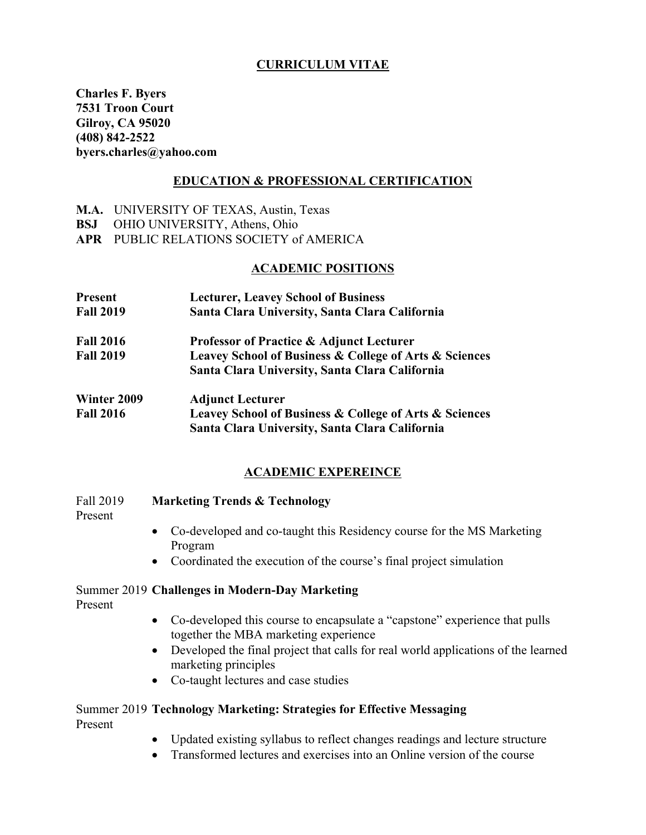# **CURRICULUM VITAE**

**Charles F. Byers 7531 Troon Court Gilroy, CA 95020 (408) 842-2522 byers.charles@yahoo.com**

### **EDUCATION & PROFESSIONAL CERTIFICATION**

- **M.A.** UNIVERSITY OF TEXAS, Austin, Texas
- **BSJ** OHIO UNIVERSITY, Athens, Ohio
- **APR** PUBLIC RELATIONS SOCIETY of AMERICA

### **ACADEMIC POSITIONS**

| <b>Present</b>   | <b>Lecturer, Leavey School of Business</b>                            |  |
|------------------|-----------------------------------------------------------------------|--|
| <b>Fall 2019</b> | Santa Clara University, Santa Clara California                        |  |
| <b>Fall 2016</b> | <b>Professor of Practice &amp; Adjunct Lecturer</b>                   |  |
| <b>Fall 2019</b> | <b>Leavey School of Business &amp; College of Arts &amp; Sciences</b> |  |
|                  | Santa Clara University, Santa Clara California                        |  |
| Winter 2009      | <b>Adjunct Lecturer</b>                                               |  |
| <b>Fall 2016</b> | Leavey School of Business & College of Arts & Sciences                |  |

# **ACADEMIC EXPEREINCE**

**Santa Clara University, Santa Clara California**

### Fall 2019 **Marketing Trends & Technology**

Present

- Co-developed and co-taught this Residency course for the MS Marketing Program
- Coordinated the execution of the course's final project simulation
- Summer 2019 **Challenges in Modern-Day Marketing**

Present

- Co-developed this course to encapsulate a "capstone" experience that pulls together the MBA marketing experience
- Developed the final project that calls for real world applications of the learned marketing principles
- Co-taught lectures and case studies

### Summer 2019 **Technology Marketing: Strategies for Effective Messaging** Present

- Updated existing syllabus to reflect changes readings and lecture structure
- Transformed lectures and exercises into an Online version of the course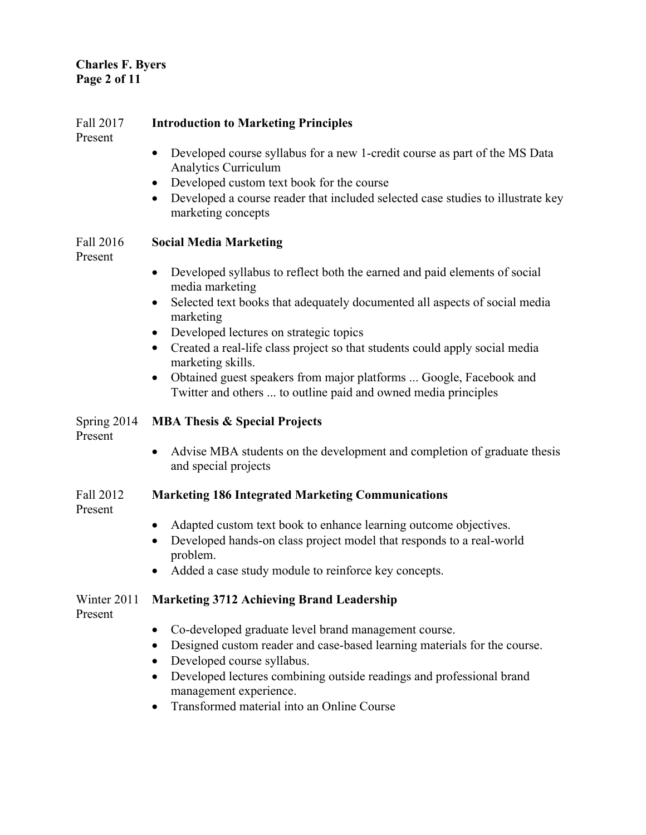# **Charles F. Byers Page 2 of 11**

| Fall 2017<br>Present   | <b>Introduction to Marketing Principles</b>                                                                                          |
|------------------------|--------------------------------------------------------------------------------------------------------------------------------------|
|                        | Developed course syllabus for a new 1-credit course as part of the MS Data<br><b>Analytics Curriculum</b>                            |
|                        | Developed custom text book for the course                                                                                            |
|                        | Developed a course reader that included selected case studies to illustrate key<br>$\bullet$<br>marketing concepts                   |
| Fall 2016<br>Present   | <b>Social Media Marketing</b>                                                                                                        |
|                        | Developed syllabus to reflect both the earned and paid elements of social<br>$\bullet$<br>media marketing                            |
|                        | Selected text books that adequately documented all aspects of social media<br>$\bullet$<br>marketing                                 |
|                        | Developed lectures on strategic topics<br>$\bullet$                                                                                  |
|                        | Created a real-life class project so that students could apply social media<br>$\bullet$<br>marketing skills.                        |
|                        | Obtained guest speakers from major platforms  Google, Facebook and<br>Twitter and others  to outline paid and owned media principles |
| Spring 2014<br>Present | <b>MBA Thesis &amp; Special Projects</b>                                                                                             |
|                        | Advise MBA students on the development and completion of graduate thesis<br>$\bullet$                                                |
|                        | and special projects                                                                                                                 |
| Fall 2012<br>Present   | <b>Marketing 186 Integrated Marketing Communications</b>                                                                             |
|                        | Adapted custom text book to enhance learning outcome objectives.<br>$\bullet$                                                        |
|                        | Developed hands-on class project model that responds to a real-world                                                                 |
|                        | problem.<br>Added a case study module to reinforce key concepts.<br>$\bullet$                                                        |
| Winter 2011<br>Present | <b>Marketing 3712 Achieving Brand Leadership</b>                                                                                     |
|                        | Co-developed graduate level brand management course.                                                                                 |
|                        | Designed custom reader and case-based learning materials for the course.<br>٠<br>Developed course syllabus.<br>$\bullet$             |
|                        | Developed lectures combining outside readings and professional brand<br>management experience.                                       |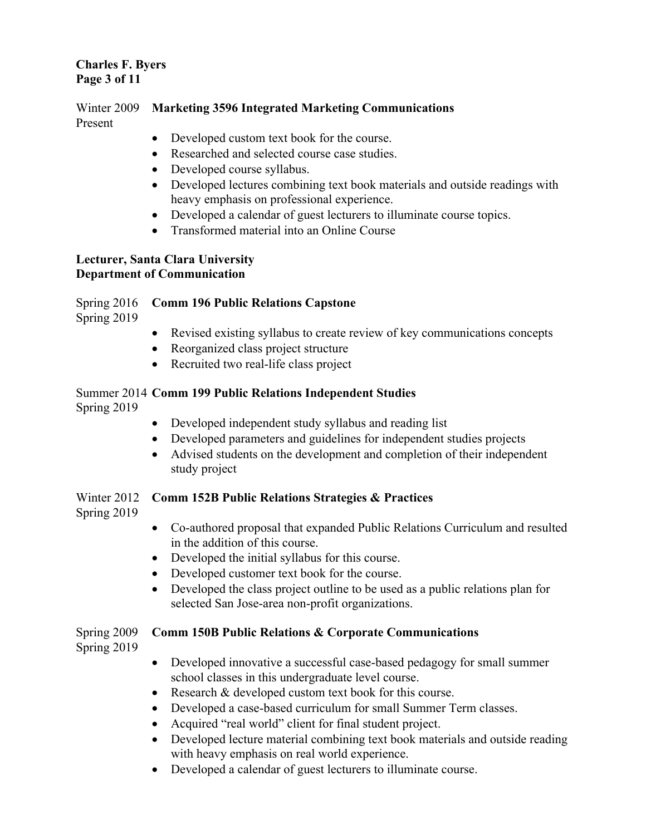# **Charles F. Byers Page 3 of 11**

Winter 2009 **Marketing 3596 Integrated Marketing Communications** Present

- Developed custom text book for the course.
- Researched and selected course case studies.
- Developed course syllabus.
- Developed lectures combining text book materials and outside readings with heavy emphasis on professional experience.
- Developed a calendar of guest lecturers to illuminate course topics.
- Transformed material into an Online Course

### **Lecturer, Santa Clara University Department of Communication**

# Spring 2016 **Comm 196 Public Relations Capstone**

Spring 2019

- Revised existing syllabus to create review of key communications concepts
- Reorganized class project structure
- Recruited two real-life class project

### Summer 2014 **Comm 199 Public Relations Independent Studies** Spring 2019

- Developed independent study syllabus and reading list
- Developed parameters and guidelines for independent studies projects
- Advised students on the development and completion of their independent study project

# Winter 2012 **Comm 152B Public Relations Strategies & Practices**

Spring 2019

- Co-authored proposal that expanded Public Relations Curriculum and resulted in the addition of this course.
- Developed the initial syllabus for this course.
- Developed customer text book for the course.
- Developed the class project outline to be used as a public relations plan for selected San Jose-area non-profit organizations.

# Spring 2009 **Comm 150B Public Relations & Corporate Communications**

Spring 2019

- Developed innovative a successful case-based pedagogy for small summer school classes in this undergraduate level course.
- Research & developed custom text book for this course.
- Developed a case-based curriculum for small Summer Term classes.
- Acquired "real world" client for final student project.
- Developed lecture material combining text book materials and outside reading with heavy emphasis on real world experience.
- Developed a calendar of guest lecturers to illuminate course.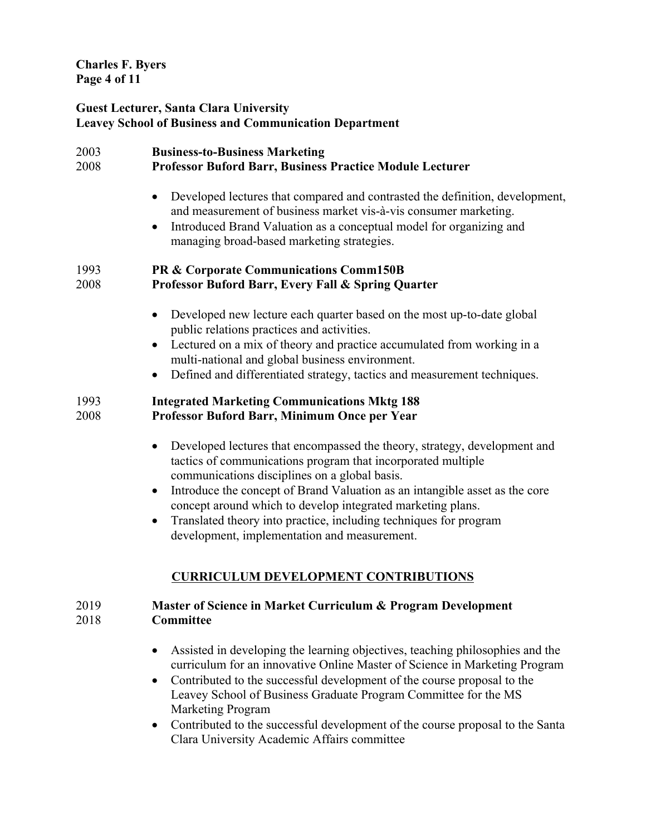**Charles F. Byers Page 4 of 11**

### **Guest Lecturer, Santa Clara University Leavey School of Business and Communication Department**

| 2003<br>2008 | <b>Business-to-Business Marketing</b><br>Professor Buford Barr, Business Practice Module Lecturer                                                                                                                                                                                                                                                                                                                                                                                                    |
|--------------|------------------------------------------------------------------------------------------------------------------------------------------------------------------------------------------------------------------------------------------------------------------------------------------------------------------------------------------------------------------------------------------------------------------------------------------------------------------------------------------------------|
|              | Developed lectures that compared and contrasted the definition, development,<br>$\bullet$<br>and measurement of business market vis-à-vis consumer marketing.<br>Introduced Brand Valuation as a conceptual model for organizing and<br>$\bullet$<br>managing broad-based marketing strategies.                                                                                                                                                                                                      |
| 1993<br>2008 | PR & Corporate Communications Comm150B<br>Professor Buford Barr, Every Fall & Spring Quarter                                                                                                                                                                                                                                                                                                                                                                                                         |
|              | Developed new lecture each quarter based on the most up-to-date global<br>$\bullet$<br>public relations practices and activities.<br>Lectured on a mix of theory and practice accumulated from working in a<br>$\bullet$<br>multi-national and global business environment.<br>Defined and differentiated strategy, tactics and measurement techniques.<br>$\bullet$                                                                                                                                 |
| 1993<br>2008 | <b>Integrated Marketing Communications Mktg 188</b><br>Professor Buford Barr, Minimum Once per Year                                                                                                                                                                                                                                                                                                                                                                                                  |
|              | Developed lectures that encompassed the theory, strategy, development and<br>$\bullet$<br>tactics of communications program that incorporated multiple<br>communications disciplines on a global basis.<br>Introduce the concept of Brand Valuation as an intangible asset as the core<br>$\bullet$<br>concept around which to develop integrated marketing plans.<br>Translated theory into practice, including techniques for program<br>$\bullet$<br>development, implementation and measurement. |
| 2019<br>2018 | <b>CURRICULUM DEVELOPMENT CONTRIBUTIONS</b><br>Master of Science in Market Curriculum & Program Development<br>Committee                                                                                                                                                                                                                                                                                                                                                                             |
|              | Assisted in developing the learning objectives, teaching philosophies and the<br>$\bullet$<br>curriculum for an innovative Online Master of Science in Marketing Program<br>Contributed to the successful development of the course proposal to the<br>$\bullet$<br>Leavey School of Business Graduate Program Committee for the MS<br><b>Marketing Program</b>                                                                                                                                      |

• Contributed to the successful development of the course proposal to the Santa Clara University Academic Affairs committee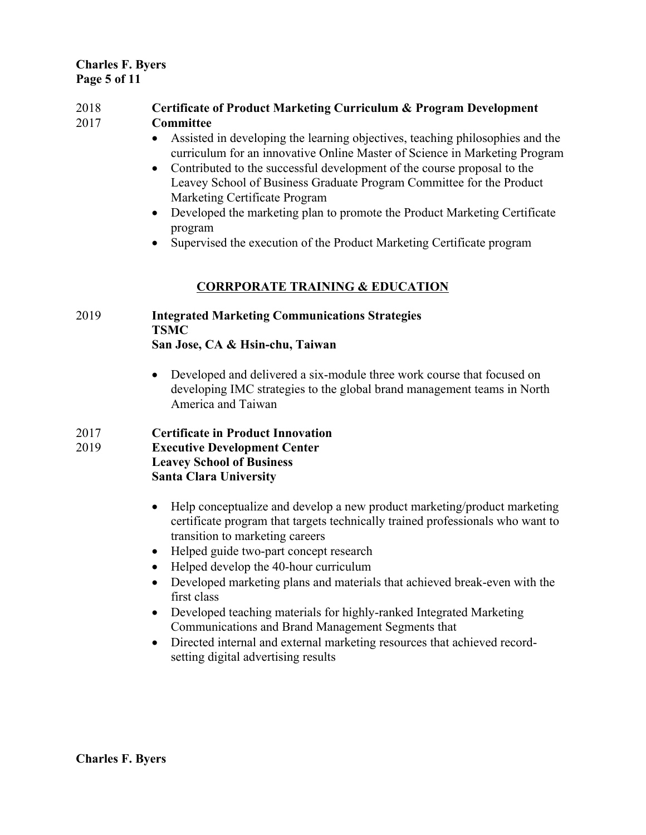### **Charles F. Byers Page 5 of 11**

### 2018 **Certificate of Product Marketing Curriculum & Program Development**  2017 **Committee**

- Assisted in developing the learning objectives, teaching philosophies and the curriculum for an innovative Online Master of Science in Marketing Program
- Contributed to the successful development of the course proposal to the Leavey School of Business Graduate Program Committee for the Product Marketing Certificate Program
- Developed the marketing plan to promote the Product Marketing Certificate program
- Supervised the execution of the Product Marketing Certificate program

# **CORRPORATE TRAINING & EDUCATION**

### 2019 **Integrated Marketing Communications Strategies TSMC San Jose, CA & Hsin-chu, Taiwan**

• Developed and delivered a six-module three work course that focused on developing IMC strategies to the global brand management teams in North America and Taiwan

# 2017 **Certificate in Product Innovation**

### 2019 **Executive Development Center Leavey School of Business Santa Clara University**

- Help conceptualize and develop a new product marketing/product marketing certificate program that targets technically trained professionals who want to transition to marketing careers
- Helped guide two-part concept research
- Helped develop the 40-hour curriculum
- Developed marketing plans and materials that achieved break-even with the first class
- Developed teaching materials for highly-ranked Integrated Marketing Communications and Brand Management Segments that
- Directed internal and external marketing resources that achieved recordsetting digital advertising results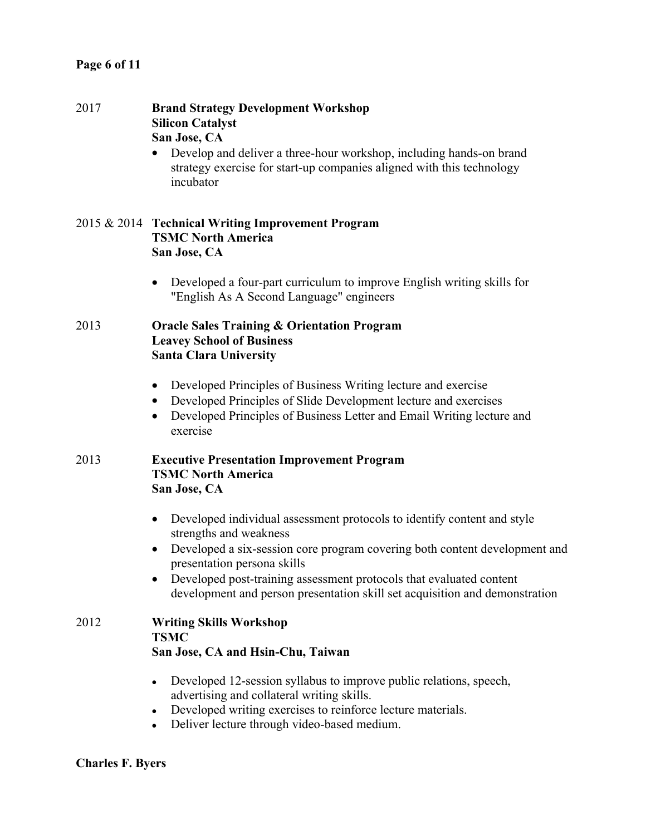| 2017 | <b>Brand Strategy Development Workshop</b><br><b>Silicon Catalyst</b><br>San Jose, CA<br>Develop and deliver a three-hour workshop, including hands-on brand<br>strategy exercise for start-up companies aligned with this technology<br>incubator                                                                                                                                |
|------|-----------------------------------------------------------------------------------------------------------------------------------------------------------------------------------------------------------------------------------------------------------------------------------------------------------------------------------------------------------------------------------|
|      | 2015 & 2014 Technical Writing Improvement Program<br><b>TSMC North America</b><br>San Jose, CA                                                                                                                                                                                                                                                                                    |
|      | Developed a four-part curriculum to improve English writing skills for<br>"English As A Second Language" engineers                                                                                                                                                                                                                                                                |
| 2013 | <b>Oracle Sales Training &amp; Orientation Program</b><br><b>Leavey School of Business</b><br><b>Santa Clara University</b>                                                                                                                                                                                                                                                       |
|      | Developed Principles of Business Writing lecture and exercise<br>$\bullet$<br>Developed Principles of Slide Development lecture and exercises<br>$\bullet$<br>Developed Principles of Business Letter and Email Writing lecture and<br>$\bullet$<br>exercise                                                                                                                      |
| 2013 | <b>Executive Presentation Improvement Program</b><br><b>TSMC North America</b><br>San Jose, CA                                                                                                                                                                                                                                                                                    |
|      | Developed individual assessment protocols to identify content and style<br>$\bullet$<br>strengths and weakness<br>Developed a six-session core program covering both content development and<br>presentation persona skills<br>Developed post-training assessment protocols that evaluated content<br>development and person presentation skill set acquisition and demonstration |
| 2012 | <b>Writing Skills Workshop</b><br><b>TSMC</b><br>San Jose, CA and Hsin-Chu, Taiwan                                                                                                                                                                                                                                                                                                |
|      | Developed 12-session syllabus to improve public relations, speech,<br>advertising and collateral writing skills.<br>Developed writing exercises to reinforce lecture materials.<br>Deliver lecture through video-based medium.                                                                                                                                                    |

# **Charles F. Byers**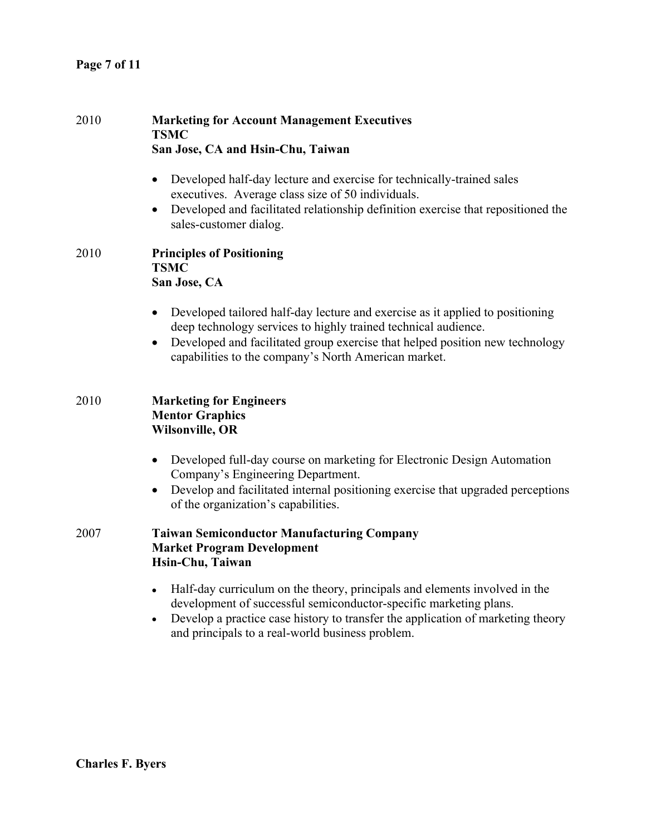| 2010 | <b>Marketing for Account Management Executives</b><br><b>TSMC</b><br>San Jose, CA and Hsin-Chu, Taiwan                                                                                                                                                                                                            |
|------|-------------------------------------------------------------------------------------------------------------------------------------------------------------------------------------------------------------------------------------------------------------------------------------------------------------------|
|      | Developed half-day lecture and exercise for technically-trained sales<br>$\bullet$<br>executives. Average class size of 50 individuals.<br>Developed and facilitated relationship definition exercise that repositioned the<br>$\bullet$<br>sales-customer dialog.                                                |
| 2010 | <b>Principles of Positioning</b><br><b>TSMC</b><br>San Jose, CA                                                                                                                                                                                                                                                   |
|      | Developed tailored half-day lecture and exercise as it applied to positioning<br>$\bullet$<br>deep technology services to highly trained technical audience.<br>Developed and facilitated group exercise that helped position new technology<br>$\bullet$<br>capabilities to the company's North American market. |
| 2010 | <b>Marketing for Engineers</b><br><b>Mentor Graphics</b><br><b>Wilsonville, OR</b>                                                                                                                                                                                                                                |
|      | Developed full-day course on marketing for Electronic Design Automation<br>$\bullet$<br>Company's Engineering Department.<br>Develop and facilitated internal positioning exercise that upgraded perceptions<br>$\bullet$<br>of the organization's capabilities.                                                  |
| 2007 | <b>Taiwan Semiconductor Manufacturing Company</b><br><b>Market Program Development</b><br>Hsin-Chu, Taiwan                                                                                                                                                                                                        |
|      | Half-day curriculum on the theory, principals and elements involved in the<br>$\bullet$<br>development of successful semiconductor-specific marketing plans.<br>Develop a practice case history to transfer the application of marketing theory<br>$\bullet$<br>and principals to a real-world business problem.  |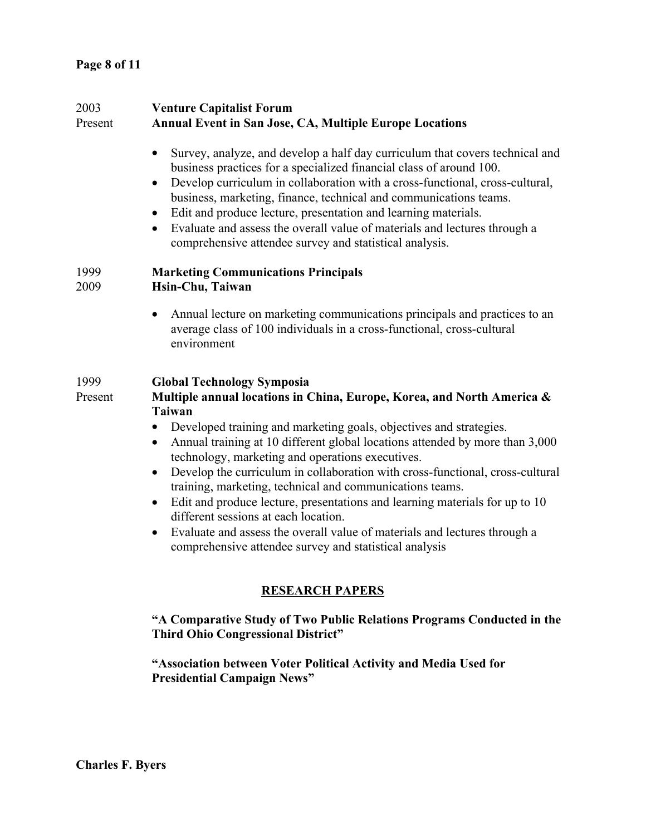| 2003<br>Present | <b>Venture Capitalist Forum</b><br><b>Annual Event in San Jose, CA, Multiple Europe Locations</b>                                                                                                                                                                                                                                                                                                                                                                                                                                                                                                                                                                                                                                                                                                     |
|-----------------|-------------------------------------------------------------------------------------------------------------------------------------------------------------------------------------------------------------------------------------------------------------------------------------------------------------------------------------------------------------------------------------------------------------------------------------------------------------------------------------------------------------------------------------------------------------------------------------------------------------------------------------------------------------------------------------------------------------------------------------------------------------------------------------------------------|
|                 | Survey, analyze, and develop a half day curriculum that covers technical and<br>$\bullet$<br>business practices for a specialized financial class of around 100.<br>Develop curriculum in collaboration with a cross-functional, cross-cultural,<br>$\bullet$<br>business, marketing, finance, technical and communications teams.<br>Edit and produce lecture, presentation and learning materials.<br>$\bullet$<br>Evaluate and assess the overall value of materials and lectures through a<br>$\bullet$<br>comprehensive attendee survey and statistical analysis.                                                                                                                                                                                                                                |
| 1999<br>2009    | <b>Marketing Communications Principals</b><br>Hsin-Chu, Taiwan                                                                                                                                                                                                                                                                                                                                                                                                                                                                                                                                                                                                                                                                                                                                        |
|                 | Annual lecture on marketing communications principals and practices to an<br>$\bullet$<br>average class of 100 individuals in a cross-functional, cross-cultural<br>environment                                                                                                                                                                                                                                                                                                                                                                                                                                                                                                                                                                                                                       |
| 1999<br>Present | <b>Global Technology Symposia</b><br>Multiple annual locations in China, Europe, Korea, and North America &<br><b>Taiwan</b><br>Developed training and marketing goals, objectives and strategies.<br>$\bullet$<br>Annual training at 10 different global locations attended by more than 3,000<br>technology, marketing and operations executives.<br>Develop the curriculum in collaboration with cross-functional, cross-cultural<br>$\bullet$<br>training, marketing, technical and communications teams.<br>Edit and produce lecture, presentations and learning materials for up to 10<br>$\bullet$<br>different sessions at each location.<br>Evaluate and assess the overall value of materials and lectures through a<br>$\bullet$<br>comprehensive attendee survey and statistical analysis |
|                 | <b>RESEARCH PAPERS</b>                                                                                                                                                                                                                                                                                                                                                                                                                                                                                                                                                                                                                                                                                                                                                                                |
|                 | "A Comparative Study of Two Public Relations Programs Conducted in the<br><b>Third Ohio Congressional District"</b>                                                                                                                                                                                                                                                                                                                                                                                                                                                                                                                                                                                                                                                                                   |

**"Association between Voter Political Activity and Media Used for Presidential Campaign News"**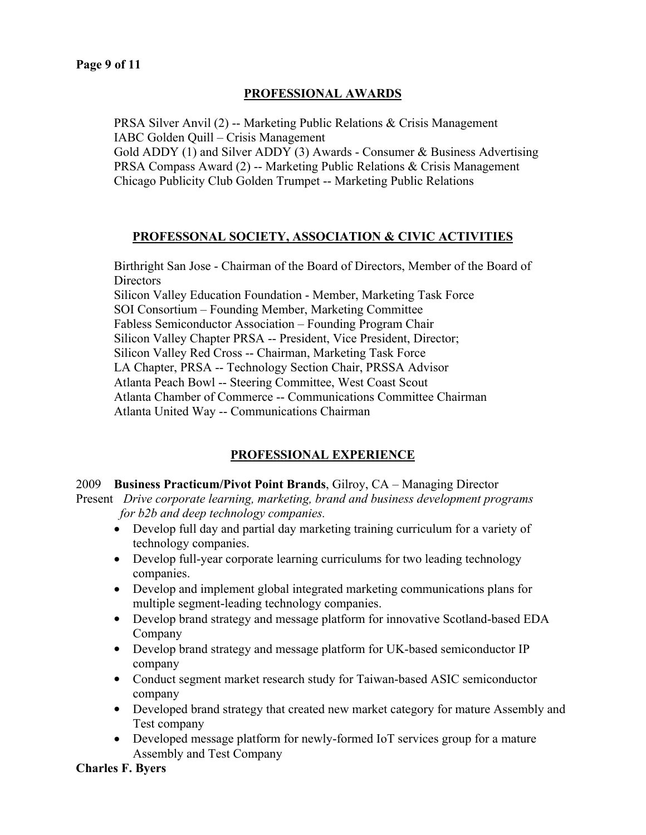### **PROFESSIONAL AWARDS**

PRSA Silver Anvil (2) -- Marketing Public Relations & Crisis Management IABC Golden Quill – Crisis Management

Gold ADDY (1) and Silver ADDY (3) Awards - Consumer & Business Advertising PRSA Compass Award (2) -- Marketing Public Relations & Crisis Management Chicago Publicity Club Golden Trumpet -- Marketing Public Relations

### **PROFESSONAL SOCIETY, ASSOCIATION & CIVIC ACTIVITIES**

Birthright San Jose - Chairman of the Board of Directors, Member of the Board of **Directors** Silicon Valley Education Foundation - Member, Marketing Task Force SOI Consortium – Founding Member, Marketing Committee Fabless Semiconductor Association – Founding Program Chair Silicon Valley Chapter PRSA -- President, Vice President, Director; Silicon Valley Red Cross -- Chairman, Marketing Task Force LA Chapter, PRSA -- Technology Section Chair, PRSSA Advisor Atlanta Peach Bowl -- Steering Committee, West Coast Scout Atlanta Chamber of Commerce -- Communications Committee Chairman Atlanta United Way -- Communications Chairman

# **PROFESSIONAL EXPERIENCE**

### 2009 **Business Practicum/Pivot Point Brands**, Gilroy, CA – Managing Director

Present *Drive corporate learning, marketing, brand and business development programs for b2b and deep technology companies.* 

- Develop full day and partial day marketing training curriculum for a variety of technology companies.
- Develop full-year corporate learning curriculums for two leading technology companies.
- Develop and implement global integrated marketing communications plans for multiple segment-leading technology companies.
- Develop brand strategy and message platform for innovative Scotland-based EDA Company
- Develop brand strategy and message platform for UK-based semiconductor IP company
- Conduct segment market research study for Taiwan-based ASIC semiconductor company
- Developed brand strategy that created new market category for mature Assembly and Test company
- Developed message platform for newly-formed IoT services group for a mature Assembly and Test Company

### **Charles F. Byers**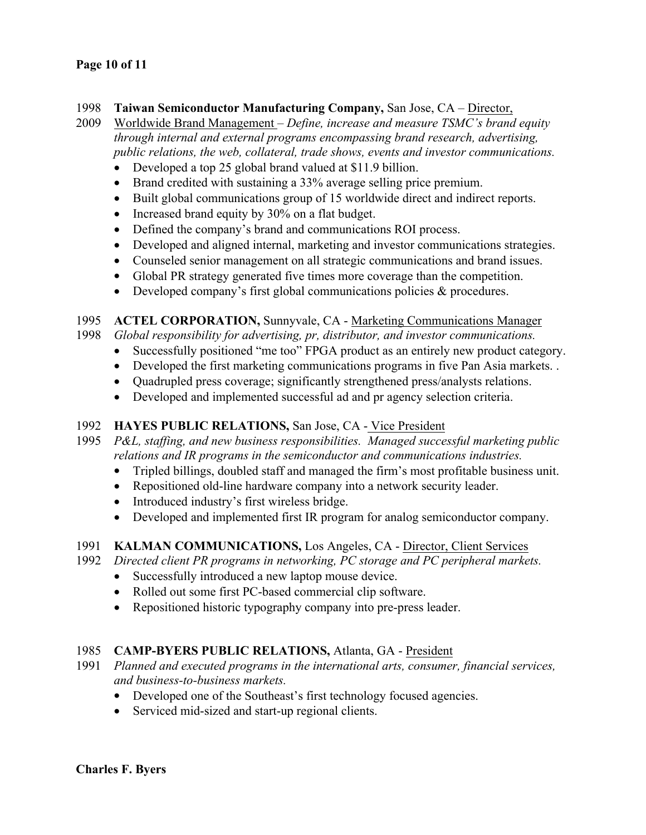### **Page 10 of 11**

### 1998 **Taiwan Semiconductor Manufacturing Company,** San Jose, CA – Director,

2009 Worldwide Brand Management – *Define, increase and measure TSMC's brand equity through internal and external programs encompassing brand research, advertising, public relations, the web, collateral, trade shows, events and investor communications.* 

- Developed a top 25 global brand valued at \$11.9 billion.
- Brand credited with sustaining a 33% average selling price premium.
- Built global communications group of 15 worldwide direct and indirect reports.
- Increased brand equity by 30% on a flat budget.
- Defined the company's brand and communications ROI process.
- Developed and aligned internal, marketing and investor communications strategies.
- Counseled senior management on all strategic communications and brand issues.
- Global PR strategy generated five times more coverage than the competition.
- Developed company's first global communications policies & procedures.

### 1995 **ACTEL CORPORATION,** Sunnyvale, CA - Marketing Communications Manager

- 1998 *Global responsibility for advertising, pr, distributor, and investor communications.* 
	- Successfully positioned "me too" FPGA product as an entirely new product category.
	- Developed the first marketing communications programs in five Pan Asia markets. .
	- Quadrupled press coverage; significantly strengthened press/analysts relations.
	- Developed and implemented successful ad and pr agency selection criteria.

### 1992 **HAYES PUBLIC RELATIONS,** San Jose, CA - Vice President

- 1995 *P&L, staffing, and new business responsibilities. Managed successful marketing public relations and IR programs in the semiconductor and communications industries.*
	- Tripled billings, doubled staff and managed the firm's most profitable business unit.
	- Repositioned old-line hardware company into a network security leader.
	- Introduced industry's first wireless bridge.
	- Developed and implemented first IR program for analog semiconductor company.

### 1991 **KALMAN COMMUNICATIONS,** Los Angeles, CA - Director, Client Services

- 1992 *Directed client PR programs in networking, PC storage and PC peripheral markets.* 
	- Successfully introduced a new laptop mouse device.
	- Rolled out some first PC-based commercial clip software.
	- Repositioned historic typography company into pre-press leader.

### 1985 **CAMP-BYERS PUBLIC RELATIONS,** Atlanta, GA - President

- 1991 *Planned and executed programs in the international arts, consumer, financial services, and business-to-business markets.*
	- Developed one of the Southeast's first technology focused agencies.
	- Serviced mid-sized and start-up regional clients.